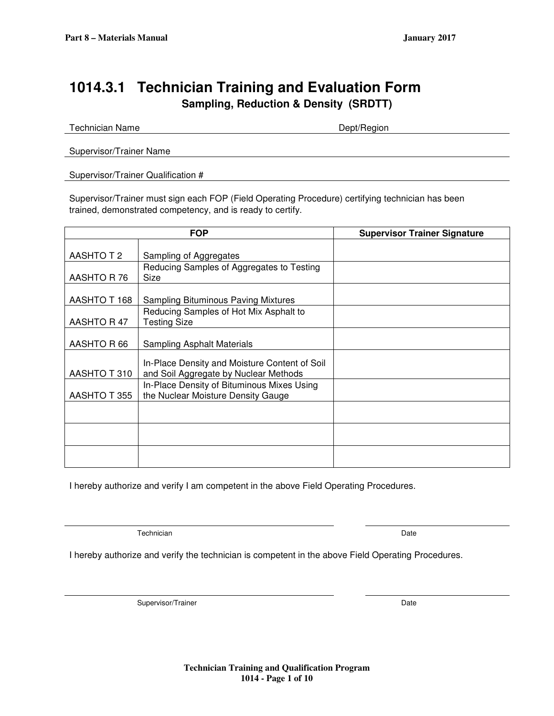## **1014.3.1 Technician Training and Evaluation Form Sampling, Reduction & Density (SRDTT)**

| Supervisor/Trainer Name |  |
|-------------------------|--|

#### Supervisor/Trainer Qualification #

Supervisor/Trainer must sign each FOP (Field Operating Procedure) certifying technician has been trained, demonstrated competency, and is ready to certify.

|              | <b>FOP</b>                                                                             | <b>Supervisor Trainer Signature</b> |
|--------------|----------------------------------------------------------------------------------------|-------------------------------------|
|              |                                                                                        |                                     |
| AASHTO T 2   | Sampling of Aggregates                                                                 |                                     |
|              | Reducing Samples of Aggregates to Testing                                              |                                     |
| AASHTO R 76  | Size                                                                                   |                                     |
| AASHTO T 168 | Sampling Bituminous Paving Mixtures                                                    |                                     |
|              | Reducing Samples of Hot Mix Asphalt to                                                 |                                     |
| AASHTO R 47  | <b>Testing Size</b>                                                                    |                                     |
|              |                                                                                        |                                     |
| AASHTO R 66  | Sampling Asphalt Materials                                                             |                                     |
|              |                                                                                        |                                     |
| AASHTO T 310 | In-Place Density and Moisture Content of Soil<br>and Soil Aggregate by Nuclear Methods |                                     |
|              | In-Place Density of Bituminous Mixes Using                                             |                                     |
| AASHTO T 355 | the Nuclear Moisture Density Gauge                                                     |                                     |
|              |                                                                                        |                                     |
|              |                                                                                        |                                     |
|              |                                                                                        |                                     |
|              |                                                                                        |                                     |
|              |                                                                                        |                                     |

I hereby authorize and verify I am competent in the above Field Operating Procedures.

Technician Date

I hereby authorize and verify the technician is competent in the above Field Operating Procedures.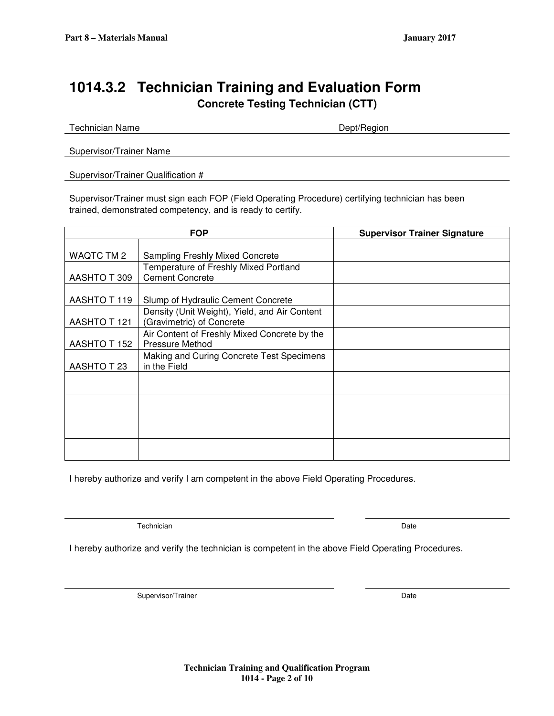## **1014.3.2 Technician Training and Evaluation Form Concrete Testing Technician (CTT)**

Technician Name **Dept/Region** 

Supervisor/Trainer Name

Supervisor/Trainer Qualification #

Supervisor/Trainer must sign each FOP (Field Operating Procedure) certifying technician has been trained, demonstrated competency, and is ready to certify.

|              | <b>FOP</b>                                    | <b>Supervisor Trainer Signature</b> |
|--------------|-----------------------------------------------|-------------------------------------|
|              |                                               |                                     |
| WAQTC TM 2   | <b>Sampling Freshly Mixed Concrete</b>        |                                     |
|              | Temperature of Freshly Mixed Portland         |                                     |
| AASHTO T 309 | <b>Cement Concrete</b>                        |                                     |
|              |                                               |                                     |
| AASHTO T 119 | Slump of Hydraulic Cement Concrete            |                                     |
|              | Density (Unit Weight), Yield, and Air Content |                                     |
| AASHTO T 121 | (Gravimetric) of Concrete                     |                                     |
|              | Air Content of Freshly Mixed Concrete by the  |                                     |
| AASHTO T 152 | <b>Pressure Method</b>                        |                                     |
|              | Making and Curing Concrete Test Specimens     |                                     |
| AASHTO T 23  | in the Field                                  |                                     |
|              |                                               |                                     |
|              |                                               |                                     |
|              |                                               |                                     |
|              |                                               |                                     |
|              |                                               |                                     |
|              |                                               |                                     |
|              |                                               |                                     |
|              |                                               |                                     |

I hereby authorize and verify I am competent in the above Field Operating Procedures.

Technician Date and Contract the Contract of the Contract of the Contract of the Date Date

I hereby authorize and verify the technician is competent in the above Field Operating Procedures.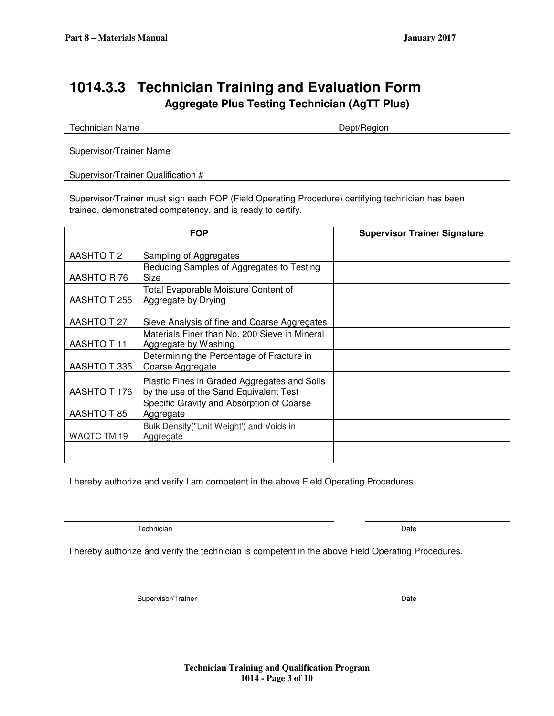# **1014.3.3 Technician Training and Evaluation Form Aggregate Plus Testing Technician (AgTT Plus)**

| <b>Technician Name</b>             | Dept/Region |  |
|------------------------------------|-------------|--|
|                                    |             |  |
| Supervisor/Trainer Name            |             |  |
| Supervisor/Trainer Qualification # |             |  |

Supervisor/Trainer must sign each FOP (Field Operating Procedure) certifying technician has been trained, demonstrated competency, and is ready to certify.

|              | <b>FOP</b>                                                                             | <b>Supervisor Trainer Signature</b> |
|--------------|----------------------------------------------------------------------------------------|-------------------------------------|
| AASHTO T 2   | Sampling of Aggregates                                                                 |                                     |
| AASHTO R76   | Reducing Samples of Aggregates to Testing<br>Size                                      |                                     |
| AASHTO T 255 | <b>Total Evaporable Moisture Content of</b><br>Aggregate by Drying                     |                                     |
| AASHTO T 27  | Sieve Analysis of fine and Coarse Aggregates                                           |                                     |
| AASHTO T 11  | Materials Finer than No. 200 Sieve in Mineral<br>Aggregate by Washing                  |                                     |
| AASHTO T335  | Determining the Percentage of Fracture in<br>Coarse Aggregate                          |                                     |
| AASHTO T 176 | Plastic Fines in Graded Aggregates and Soils<br>by the use of the Sand Equivalent Test |                                     |
| AASHTO T 85  | Specific Gravity and Absorption of Coarse<br>Aggregate                                 |                                     |
| WAQTC TM 19  | Bulk Density ("Unit Weight") and Voids in<br>Aggregate                                 |                                     |
|              |                                                                                        |                                     |

I hereby authorize and verify I am competent in the above Field Operating Procedures.

Technician Date

I hereby authorize and verify the technician is competent in the above Field Operating Procedures.

Supervisor/Trainer Date Date of the United States of the United States of the United States of the United States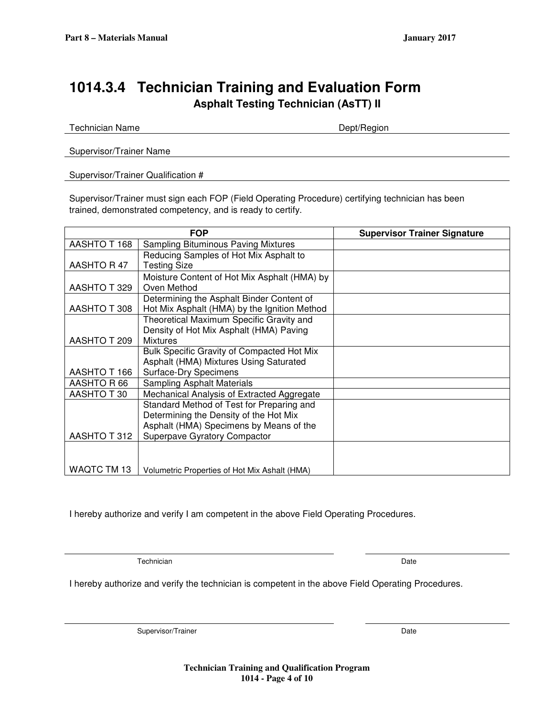# **1014.3.4 Technician Training and Evaluation Form Asphalt Testing Technician (AsTT) II**

Technician Name **Dept/Region** 

Supervisor/Trainer Name

Supervisor/Trainer Qualification #

Supervisor/Trainer must sign each FOP (Field Operating Procedure) certifying technician has been trained, demonstrated competency, and is ready to certify.

|                     | <b>FOP</b>                                    | <b>Supervisor Trainer Signature</b> |
|---------------------|-----------------------------------------------|-------------------------------------|
| <b>AASHTO T 168</b> | Sampling Bituminous Paving Mixtures           |                                     |
|                     | Reducing Samples of Hot Mix Asphalt to        |                                     |
| AASHTO R 47         | <b>Testing Size</b>                           |                                     |
|                     | Moisture Content of Hot Mix Asphalt (HMA) by  |                                     |
| AASHTO T 329        | Oven Method                                   |                                     |
|                     | Determining the Asphalt Binder Content of     |                                     |
| AASHTO T 308        | Hot Mix Asphalt (HMA) by the Ignition Method  |                                     |
|                     | Theoretical Maximum Specific Gravity and      |                                     |
|                     | Density of Hot Mix Asphalt (HMA) Paving       |                                     |
| AASHTO T 209        | <b>Mixtures</b>                               |                                     |
|                     | Bulk Specific Gravity of Compacted Hot Mix    |                                     |
|                     | Asphalt (HMA) Mixtures Using Saturated        |                                     |
| AASHTO T 166        | Surface-Dry Specimens                         |                                     |
| AASHTO R 66         | <b>Sampling Asphalt Materials</b>             |                                     |
| AASHTO T 30         | Mechanical Analysis of Extracted Aggregate    |                                     |
|                     | Standard Method of Test for Preparing and     |                                     |
|                     | Determining the Density of the Hot Mix        |                                     |
|                     | Asphalt (HMA) Specimens by Means of the       |                                     |
| AASHTO T 312        | Superpave Gyratory Compactor                  |                                     |
|                     |                                               |                                     |
|                     |                                               |                                     |
| WAQTC TM 13         | Volumetric Properties of Hot Mix Ashalt (HMA) |                                     |

I hereby authorize and verify I am competent in the above Field Operating Procedures.

Technician Date

I hereby authorize and verify the technician is competent in the above Field Operating Procedures.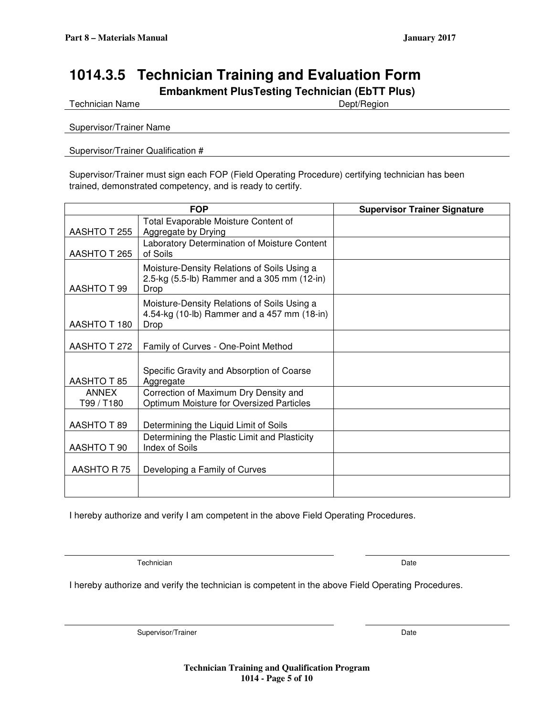# **1014.3.5 Technician Training and Evaluation Form**

**Embankment PlusTesting Technician (EbTT Plus)** 

Technician Name **Dept/Region** 

Supervisor/Trainer Name

Supervisor/Trainer Qualification #

Supervisor/Trainer must sign each FOP (Field Operating Procedure) certifying technician has been trained, demonstrated competency, and is ready to certify.

|                     | <b>FOP</b>                                                                                         | <b>Supervisor Trainer Signature</b> |
|---------------------|----------------------------------------------------------------------------------------------------|-------------------------------------|
| AASHTO T 255        | Total Evaporable Moisture Content of<br>Aggregate by Drying                                        |                                     |
| AASHTO T 265        | Laboratory Determination of Moisture Content<br>of Soils                                           |                                     |
| AASHTO T 99         | Moisture-Density Relations of Soils Using a<br>2.5-kg (5.5-lb) Rammer and a 305 mm (12-in)<br>Drop |                                     |
| AASHTO T 180        | Moisture-Density Relations of Soils Using a<br>4.54-kg (10-lb) Rammer and a 457 mm (18-in)<br>Drop |                                     |
| AASHTO T 272        | Family of Curves - One-Point Method                                                                |                                     |
| AASHTO T 85         | Specific Gravity and Absorption of Coarse<br>Aggregate                                             |                                     |
| ANNEX<br>T99 / T180 | Correction of Maximum Dry Density and<br>Optimum Moisture for Oversized Particles                  |                                     |
| <b>AASHTO T 89</b>  | Determining the Liquid Limit of Soils                                                              |                                     |
| AASHTO T 90         | Determining the Plastic Limit and Plasticity<br><b>Index of Soils</b>                              |                                     |
| AASHTO R75          | Developing a Family of Curves                                                                      |                                     |
|                     |                                                                                                    |                                     |

I hereby authorize and verify I am competent in the above Field Operating Procedures.

Technician Date

I hereby authorize and verify the technician is competent in the above Field Operating Procedures.

Supervisor/Trainer Date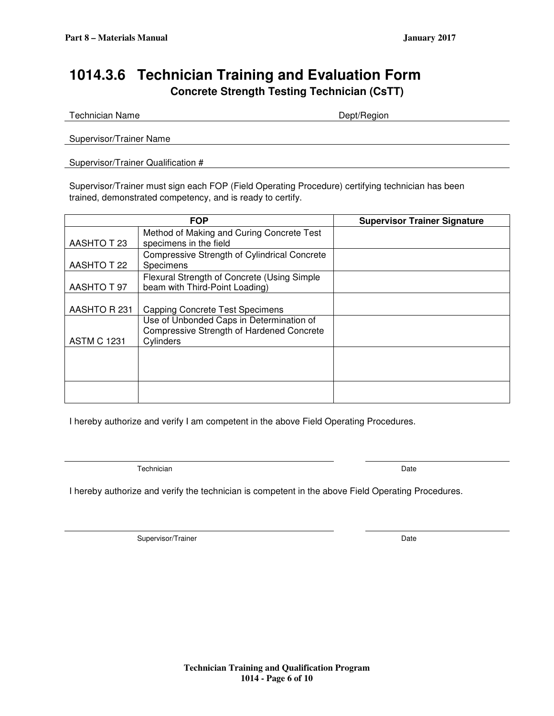# **1014.3.6 Technician Training and Evaluation Form Concrete Strength Testing Technician (CsTT)**

Technician Name **Dept/Region** 

Supervisor/Trainer Name

Supervisor/Trainer Qualification #

Supervisor/Trainer must sign each FOP (Field Operating Procedure) certifying technician has been trained, demonstrated competency, and is ready to certify.

|                    | <b>FOP</b>                                                                                                | <b>Supervisor Trainer Signature</b> |
|--------------------|-----------------------------------------------------------------------------------------------------------|-------------------------------------|
| AASHTO T 23        | Method of Making and Curing Concrete Test<br>specimens in the field                                       |                                     |
| AASHTO T 22        | Compressive Strength of Cylindrical Concrete<br>Specimens                                                 |                                     |
| AASHTO T 97        | Flexural Strength of Concrete (Using Simple<br>beam with Third-Point Loading)                             |                                     |
| AASHTO R 231       | <b>Capping Concrete Test Specimens</b>                                                                    |                                     |
| <b>ASTM C 1231</b> | Use of Unbonded Caps in Determination of<br><b>Compressive Strength of Hardened Concrete</b><br>Cylinders |                                     |
|                    |                                                                                                           |                                     |
|                    |                                                                                                           |                                     |

I hereby authorize and verify I am competent in the above Field Operating Procedures.

Technician Date **Date of the Contract of the Contract of the Contract of the Contract of the Date** 

|  | I hereby authorize and verify the technician is competent in the above Field Operating Procedures. |
|--|----------------------------------------------------------------------------------------------------|
|  |                                                                                                    |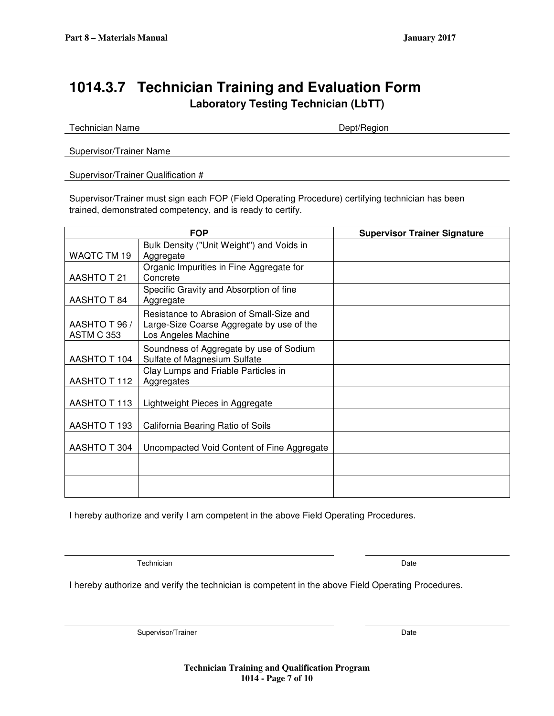# **1014.3.7 Technician Training and Evaluation Form Laboratory Testing Technician (LbTT)**

Technician Name **Dept/Region** 

Supervisor/Trainer Name

Supervisor/Trainer Qualification #

Supervisor/Trainer must sign each FOP (Field Operating Procedure) certifying technician has been trained, demonstrated competency, and is ready to certify.

|                   | <b>FOP</b>                                 | <b>Supervisor Trainer Signature</b> |
|-------------------|--------------------------------------------|-------------------------------------|
|                   | Bulk Density ("Unit Weight") and Voids in  |                                     |
| WAQTC TM 19       | Aggregate                                  |                                     |
|                   | Organic Impurities in Fine Aggregate for   |                                     |
| AASHTO T 21       | Concrete                                   |                                     |
|                   | Specific Gravity and Absorption of fine    |                                     |
| AASHTO T 84       | Aggregate                                  |                                     |
|                   | Resistance to Abrasion of Small-Size and   |                                     |
| AASHTO T 96 /     | Large-Size Coarse Aggregate by use of the  |                                     |
| <b>ASTM C 353</b> | Los Angeles Machine                        |                                     |
|                   | Soundness of Aggregate by use of Sodium    |                                     |
| AASHTO T 104      | Sulfate of Magnesium Sulfate               |                                     |
|                   | Clay Lumps and Friable Particles in        |                                     |
| AASHTO T 112      | Aggregates                                 |                                     |
|                   |                                            |                                     |
| AASHTO T 113      | Lightweight Pieces in Aggregate            |                                     |
|                   |                                            |                                     |
| AASHTO T 193      | California Bearing Ratio of Soils          |                                     |
| AASHTO T 304      | Uncompacted Void Content of Fine Aggregate |                                     |
|                   |                                            |                                     |
|                   |                                            |                                     |
|                   |                                            |                                     |
|                   |                                            |                                     |

I hereby authorize and verify I am competent in the above Field Operating Procedures.

Technician Date

I hereby authorize and verify the technician is competent in the above Field Operating Procedures.

Supervisor/Trainer Date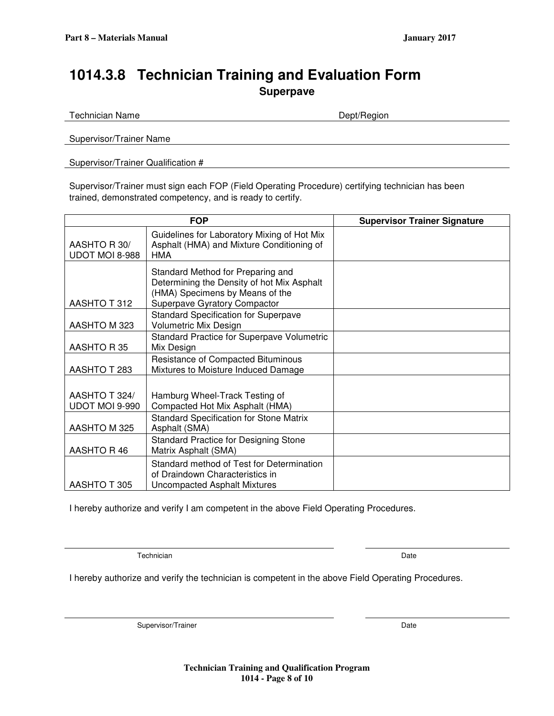# **1014.3.8 Technician Training and Evaluation Form Superpave**

Technician Name **Dept/Region** 

Supervisor/Trainer Name

Supervisor/Trainer Qualification #

Supervisor/Trainer must sign each FOP (Field Operating Procedure) certifying technician has been trained, demonstrated competency, and is ready to certify.

|                                 | <b>FOP</b>                                                                                                                                         | <b>Supervisor Trainer Signature</b> |
|---------------------------------|----------------------------------------------------------------------------------------------------------------------------------------------------|-------------------------------------|
| AASHTO R 30/<br>UDOT MOI 8-988  | Guidelines for Laboratory Mixing of Hot Mix<br>Asphalt (HMA) and Mixture Conditioning of<br><b>HMA</b>                                             |                                     |
| AASHTO T 312                    | Standard Method for Preparing and<br>Determining the Density of hot Mix Asphalt<br>(HMA) Specimens by Means of the<br>Superpave Gyratory Compactor |                                     |
| AASHTO M 323                    | <b>Standard Specification for Superpave</b><br>Volumetric Mix Design                                                                               |                                     |
| AASHTO R35                      | <b>Standard Practice for Superpave Volumetric</b><br>Mix Design                                                                                    |                                     |
| AASHTO T 283                    | Resistance of Compacted Bituminous<br>Mixtures to Moisture Induced Damage                                                                          |                                     |
| AASHTO T 324/<br>UDOT MOI 9-990 | Hamburg Wheel-Track Testing of<br>Compacted Hot Mix Asphalt (HMA)                                                                                  |                                     |
| AASHTO M 325                    | <b>Standard Specification for Stone Matrix</b><br>Asphalt (SMA)                                                                                    |                                     |
| AASHTO R 46                     | <b>Standard Practice for Designing Stone</b><br>Matrix Asphalt (SMA)                                                                               |                                     |
| AASHTO T 305                    | Standard method of Test for Determination<br>of Draindown Characteristics in<br><b>Uncompacted Asphalt Mixtures</b>                                |                                     |

I hereby authorize and verify I am competent in the above Field Operating Procedures.

Technician Date

I hereby authorize and verify the technician is competent in the above Field Operating Procedures.

Supervisor/Trainer Date